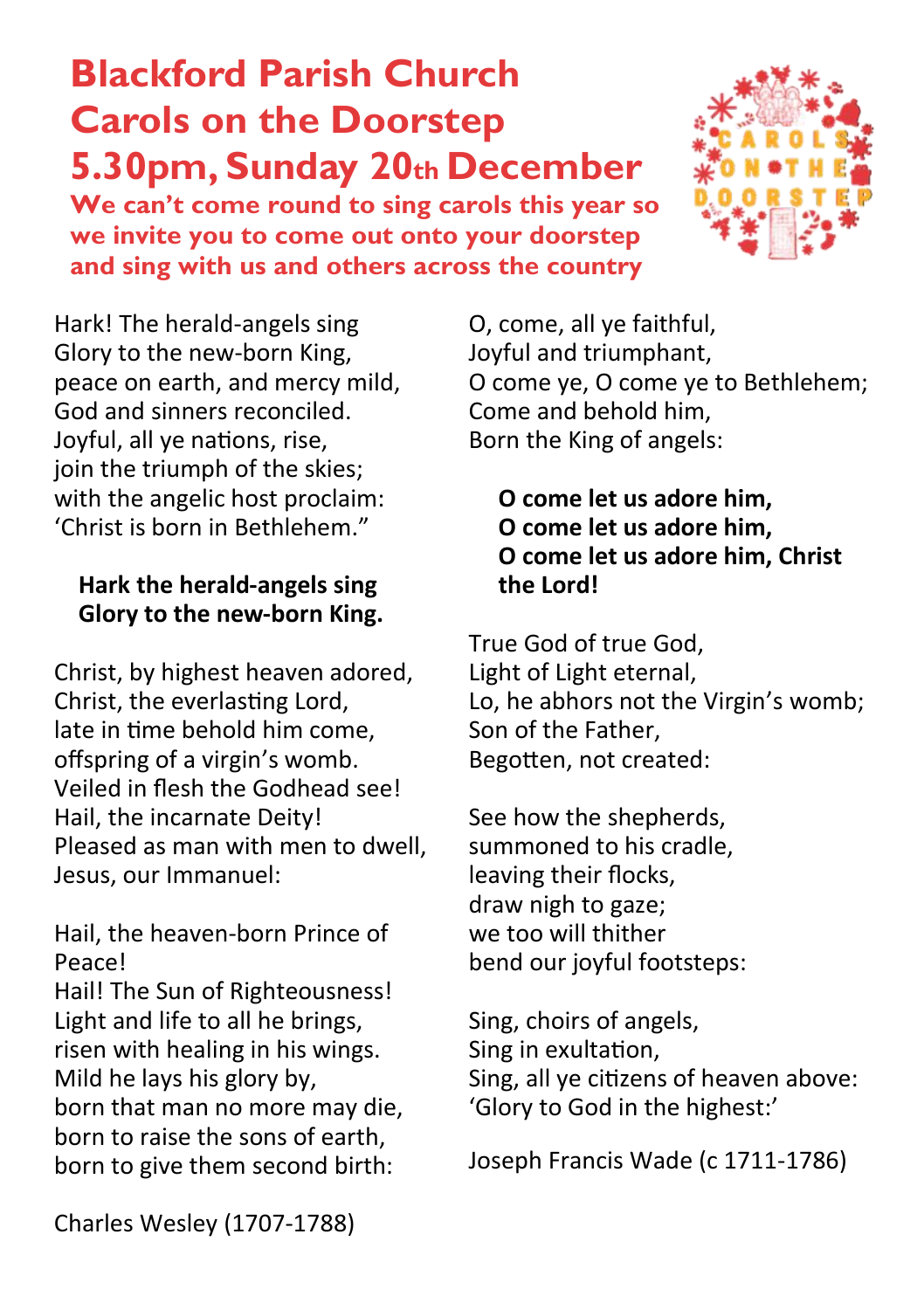# **Blackford Parish Church Carols on the Doorstep 5.30pm, Sunday 20th December**

**We can't come round to sing carols this year so we invite you to come out onto your doorstep and sing with us and others across the country**



Hark! The herald-angels sing Glory to the new-born King, peace on earth, and mercy mild, God and sinners reconciled. Joyful, all ye nations, rise, join the triumph of the skies; with the angelic host proclaim: 'Christ is born in Bethlehem."

#### **Hark the herald-angels sing Glory to the new-born King.**

Christ, by highest heaven adored, Christ, the everlasting Lord, late in time behold him come, offspring of a virgin's womb. Veiled in flesh the Godhead see! Hail, the incarnate Deity! Pleased as man with men to dwell, Jesus, our Immanuel:

Hail, the heaven-born Prince of Peace!

Hail! The Sun of Righteousness! Light and life to all he brings, risen with healing in his wings. Mild he lays his glory by, born that man no more may die, born to raise the sons of earth, born to give them second birth:

O, come, all ye faithful, Joyful and triumphant, O come ye, O come ye to Bethlehem; Come and behold him, Born the King of angels:

#### **O come let us adore him, O come let us adore him, O come let us adore him, Christ the Lord!**

True God of true God, Light of Light eternal, Lo, he abhors not the Virgin's womb; Son of the Father, Begotten, not created:

See how the shepherds, summoned to his cradle, leaving their flocks, draw nigh to gaze; we too will thither bend our joyful footsteps:

Sing, choirs of angels, Sing in exultation, Sing, all ye citizens of heaven above: 'Glory to God in the highest:'

Joseph Francis Wade (c 1711-1786)

Charles Wesley (1707-1788)